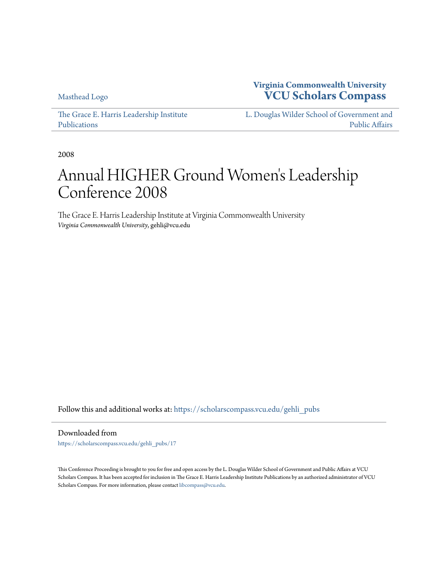[Masthead Logo](http://www.vcu.edu/?utm_source=scholarscompass.vcu.edu%2Fgehli_pubs%2F17&utm_medium=PDF&utm_campaign=PDFCoverPages)

**Virginia Commonwealth University [VCU Scholars Compass](https://scholarscompass.vcu.edu?utm_source=scholarscompass.vcu.edu%2Fgehli_pubs%2F17&utm_medium=PDF&utm_campaign=PDFCoverPages)**

[The Grace E. Harris Leadership Institute](https://scholarscompass.vcu.edu/gehli_pubs?utm_source=scholarscompass.vcu.edu%2Fgehli_pubs%2F17&utm_medium=PDF&utm_campaign=PDFCoverPages) [Publications](https://scholarscompass.vcu.edu/gehli_pubs?utm_source=scholarscompass.vcu.edu%2Fgehli_pubs%2F17&utm_medium=PDF&utm_campaign=PDFCoverPages)

[L. Douglas Wilder School of Government and](https://scholarscompass.vcu.edu/wilder?utm_source=scholarscompass.vcu.edu%2Fgehli_pubs%2F17&utm_medium=PDF&utm_campaign=PDFCoverPages) [Public Affairs](https://scholarscompass.vcu.edu/wilder?utm_source=scholarscompass.vcu.edu%2Fgehli_pubs%2F17&utm_medium=PDF&utm_campaign=PDFCoverPages)

2008

# Annual HIGHER Ground Women 's Leadership Conference 2008

The Grace E. Harris Leadership Institute at Virginia Commonwealth University *Virginia Commonwealth University*, gehli@vcu.edu

Follow this and additional works at: [https://scholarscompass.vcu.edu/gehli\\_pubs](https://scholarscompass.vcu.edu/gehli_pubs?utm_source=scholarscompass.vcu.edu%2Fgehli_pubs%2F17&utm_medium=PDF&utm_campaign=PDFCoverPages)

Downloaded from

[https://scholarscompass.vcu.edu/gehli\\_pubs/17](https://scholarscompass.vcu.edu/gehli_pubs/17?utm_source=scholarscompass.vcu.edu%2Fgehli_pubs%2F17&utm_medium=PDF&utm_campaign=PDFCoverPages)

This Conference Proceeding is brought to you for free and open access by the L. Douglas Wilder School of Government and Public Affairs at VCU Scholars Compass. It has been accepted for inclusion in The Grace E. Harris Leadership Institute Publications by an authorized administrator of VCU Scholars Compass. For more information, please contact [libcompass@vcu.edu](mailto:libcompass@vcu.edu).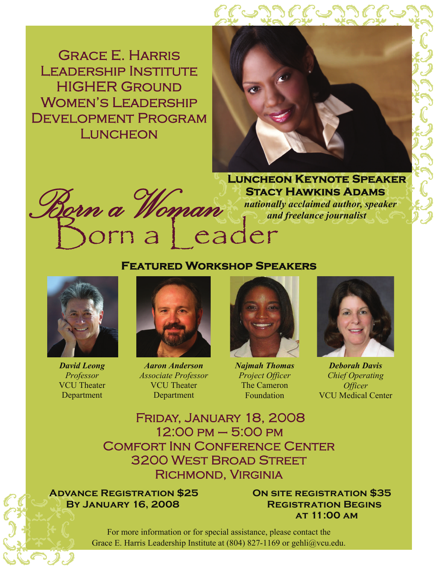Grace E. Harris Leadership Institute **HIGHER GROUND** WOMEN'S LEADERSHIP Development Program **LUNCHEON** 





 **Luncheon Keynote Speaker Stacy Hawkins Adams** 

 *nationally acclaimed author, speaker and freelance journalist* 

## **Featured Workshop Speakers**



*David Leong Professor*  VCU Theater Department



*Aaron Anderson Associate Professor*  VCU Theater Department



*Najmah Thomas Project Officer*  The Cameron Foundation



*Deborah Davis Chief Operating Officer*  VCU Medical Center

Friday, January 18, 2008 12:00 pm – 5:00 pm Comfort Inn Conference Center 3200 West Broad Street Richmond, Virginia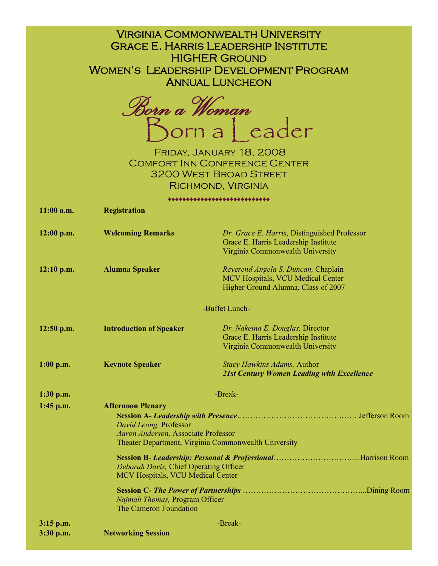| <b>VIRGINIA COMMONWEALTH UNIVERSITY</b><br><b>GRACE E. HARRIS LEADERSHIP INSTITUTE</b><br><b>HIGHER GROUND</b><br><b>WOMEN'S LEADERSHIP DEVELOPMENT PROGRAM</b><br><b>ANNUAL LUNCHEON</b><br>Born a Woman<br>Born a Jeader<br>FRIDAY, JANUARY 18, 2008<br><b>COMFORT INN CONFERENCE CENTER</b><br><b>3200 WEST BROAD STREET</b> |                                                                                                                                                                                                      |                                                                                                                          |
|---------------------------------------------------------------------------------------------------------------------------------------------------------------------------------------------------------------------------------------------------------------------------------------------------------------------------------|------------------------------------------------------------------------------------------------------------------------------------------------------------------------------------------------------|--------------------------------------------------------------------------------------------------------------------------|
| RICHMOND, VIRGINIA                                                                                                                                                                                                                                                                                                              |                                                                                                                                                                                                      |                                                                                                                          |
| **************************                                                                                                                                                                                                                                                                                                      |                                                                                                                                                                                                      |                                                                                                                          |
| $11:00$ a.m.                                                                                                                                                                                                                                                                                                                    | <b>Registration</b>                                                                                                                                                                                  |                                                                                                                          |
|                                                                                                                                                                                                                                                                                                                                 |                                                                                                                                                                                                      |                                                                                                                          |
| $12:00$ p.m.                                                                                                                                                                                                                                                                                                                    | <b>Welcoming Remarks</b>                                                                                                                                                                             | Dr. Grace E. Harris, Distinguished Professor<br>Grace E. Harris Leadership Institute<br>Virginia Commonwealth University |
|                                                                                                                                                                                                                                                                                                                                 |                                                                                                                                                                                                      |                                                                                                                          |
| $12:10$ p.m.                                                                                                                                                                                                                                                                                                                    | <b>Alumna Speaker</b>                                                                                                                                                                                | Reverend Angela S. Duncan, Chaplain<br>MCV Hospitals, VCU Medical Center<br>Higher Ground Alumna, Class of 2007          |
| -Buffet Lunch-                                                                                                                                                                                                                                                                                                                  |                                                                                                                                                                                                      |                                                                                                                          |
| $12:50$ p.m.                                                                                                                                                                                                                                                                                                                    | <b>Introduction of Speaker</b>                                                                                                                                                                       | Dr. Nakeina E. Douglas, Director<br>Grace E. Harris Leadership Institute<br>Virginia Commonwealth University             |
| $1:00$ p.m.                                                                                                                                                                                                                                                                                                                     | <b>Keynote Speaker</b>                                                                                                                                                                               | Stacy Hawkins Adams, Author<br><b>21st Century Women Leading with Excellence</b>                                         |
| $1:30$ p.m.                                                                                                                                                                                                                                                                                                                     | -Break-                                                                                                                                                                                              |                                                                                                                          |
|                                                                                                                                                                                                                                                                                                                                 | <b>Afternoon Plenary</b>                                                                                                                                                                             |                                                                                                                          |
| $1:45$ p.m.                                                                                                                                                                                                                                                                                                                     | David Leong, Professor<br>Aaron Anderson, Associate Professor<br>Theater Department, Virginia Commonwealth University<br>Deborah Davis, Chief Operating Officer<br>MCV Hospitals, VCU Medical Center |                                                                                                                          |
|                                                                                                                                                                                                                                                                                                                                 |                                                                                                                                                                                                      |                                                                                                                          |
|                                                                                                                                                                                                                                                                                                                                 | Najmah Thomas, Program Officer<br>The Cameron Foundation                                                                                                                                             |                                                                                                                          |
| 3:15 p.m.                                                                                                                                                                                                                                                                                                                       | -Break-                                                                                                                                                                                              |                                                                                                                          |
| 3:30 p.m.                                                                                                                                                                                                                                                                                                                       | <b>Networking Session</b>                                                                                                                                                                            |                                                                                                                          |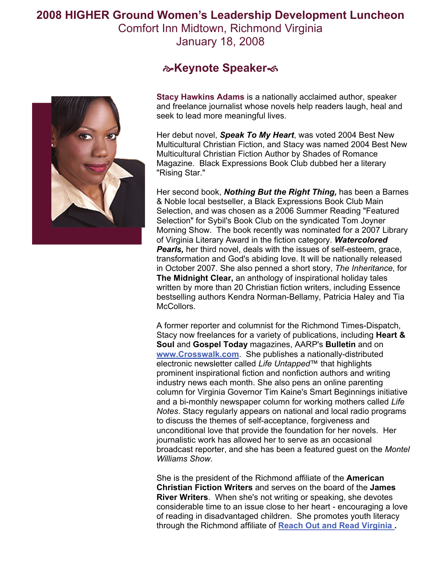**2008 HIGHER Ground Women's Leadership Development Luncheon** 

Comfort Inn Midtown, Richmond Virginia January 18, 2008



## **&Keynote Speaker**

**Stacy Hawkins Adams** is a nationally acclaimed author, speaker and freelance journalist whose novels help readers laugh, heal and seek to lead more meaningful lives.

Her debut novel, *Speak To My Heart*, was voted 2004 Best New Multicultural Christian Fiction, and Stacy was named 2004 Best New Multicultural Christian Fiction Author by Shades of Romance Magazine. Black Expressions Book Club dubbed her a literary "Rising Star."

Her second book, *Nothing But the Right Thing,* has been a Barnes & Noble local bestseller, a Black Expressions Book Club Main Selection, and was chosen as a 2006 Summer Reading "Featured Selection" for Sybil's Book Club on the syndicated Tom Joyner Morning Show. The book recently was nominated for a 2007 Library of Virginia Literary Award in the fiction category. *Watercolored*  **Pearls,** her third novel, deals with the issues of self-esteem, grace, transformation and God's abiding love. It will be nationally released in October 2007. She also penned a short story, *The Inheritance*, for **The Midnight Clear,** an anthology of inspirational holiday tales written by more than 20 Christian fiction writers, including Essence bestselling authors Kendra Norman-Bellamy, Patricia Haley and Tia McCollors.

A former reporter and columnist for the Richmond Times-Dispatch, Stacy now freelances for a variety of publications, including **Heart & Soul** and **Gospel Today** magazines, AARP's **Bulletin** and on **[www.Crosswalk.com](http://www.crosswalk.com)**. She publishes a nationally-distributed electronic newsletter called *Life Untapped*™ that highlights prominent inspirational fiction and nonfiction authors and writing industry news each month. She also pens an online parenting column for Virginia Governor Tim Kaine's Smart Beginnings initiative and a bi-monthly newspaper column for working mothers called *Life Notes*. Stacy regularly appears on national and local radio programs to discuss the themes of self-acceptance, forgiveness and unconditional love that provide the foundation for her novels. Her journalistic work has allowed her to serve as an occasional broadcast reporter, and she has been a featured guest on the *Montel Williams Show*.

She is the president of the Richmond affiliate of the **American Christian Fiction Writers** and serves on the board of the **James River Writers**. When she's not writing or speaking, she devotes considerable time to an issue close to her heart - encouraging a love of reading in disadvantaged children. She promotes youth literacy through the Richmond affiliate of **[Reach Out and Read Virginia](http://www.reachoutandread.org) .**